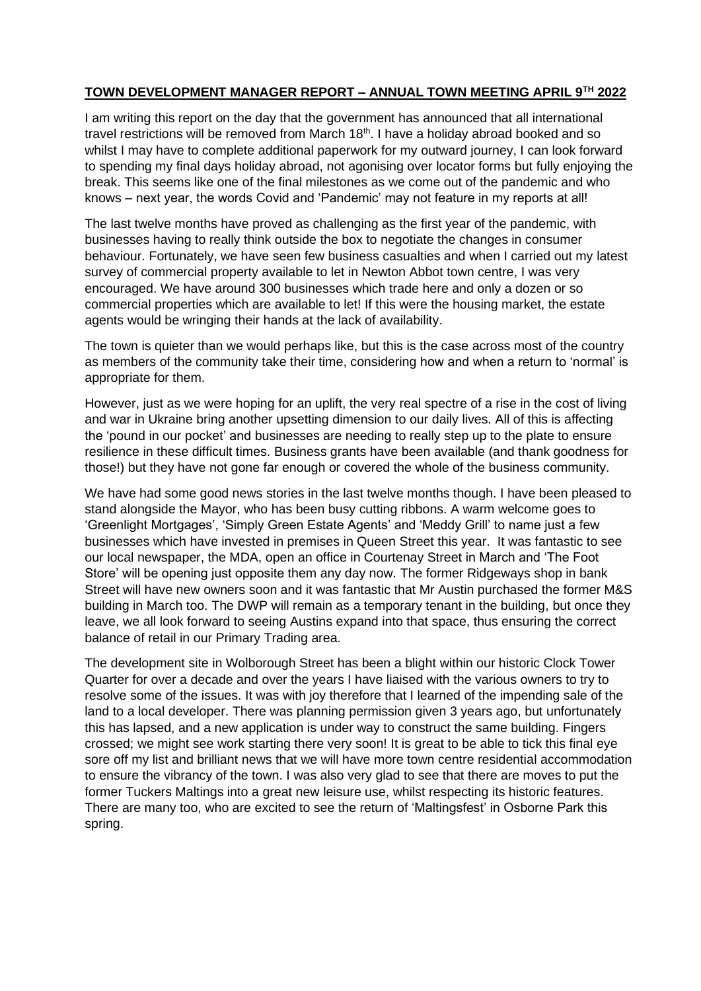## **TOWN DEVELOPMENT MANAGER REPORT – ANNUAL TOWN MEETING APRIL 9TH 2022**

I am writing this report on the day that the government has announced that all international travel restrictions will be removed from March 18<sup>th</sup>. I have a holiday abroad booked and so whilst I may have to complete additional paperwork for my outward journey, I can look forward to spending my final days holiday abroad, not agonising over locator forms but fully enjoying the break. This seems like one of the final milestones as we come out of the pandemic and who knows – next year, the words Covid and 'Pandemic' may not feature in my reports at all!

The last twelve months have proved as challenging as the first year of the pandemic, with businesses having to really think outside the box to negotiate the changes in consumer behaviour. Fortunately, we have seen few business casualties and when I carried out my latest survey of commercial property available to let in Newton Abbot town centre, I was very encouraged. We have around 300 businesses which trade here and only a dozen or so commercial properties which are available to let! If this were the housing market, the estate agents would be wringing their hands at the lack of availability.

The town is quieter than we would perhaps like, but this is the case across most of the country as members of the community take their time, considering how and when a return to 'normal' is appropriate for them.

However, just as we were hoping for an uplift, the very real spectre of a rise in the cost of living and war in Ukraine bring another upsetting dimension to our daily lives. All of this is affecting the 'pound in our pocket' and businesses are needing to really step up to the plate to ensure resilience in these difficult times. Business grants have been available (and thank goodness for those!) but they have not gone far enough or covered the whole of the business community.

We have had some good news stories in the last twelve months though. I have been pleased to stand alongside the Mayor, who has been busy cutting ribbons. A warm welcome goes to 'Greenlight Mortgages', 'Simply Green Estate Agents' and 'Meddy Grill' to name just a few businesses which have invested in premises in Queen Street this year. It was fantastic to see our local newspaper, the MDA, open an office in Courtenay Street in March and 'The Foot Store' will be opening just opposite them any day now. The former Ridgeways shop in bank Street will have new owners soon and it was fantastic that Mr Austin purchased the former M&S building in March too. The DWP will remain as a temporary tenant in the building, but once they leave, we all look forward to seeing Austins expand into that space, thus ensuring the correct balance of retail in our Primary Trading area.

The development site in Wolborough Street has been a blight within our historic Clock Tower Quarter for over a decade and over the years I have liaised with the various owners to try to resolve some of the issues. It was with joy therefore that I learned of the impending sale of the land to a local developer. There was planning permission given 3 years ago, but unfortunately this has lapsed, and a new application is under way to construct the same building. Fingers crossed; we might see work starting there very soon! It is great to be able to tick this final eye sore off my list and brilliant news that we will have more town centre residential accommodation to ensure the vibrancy of the town. I was also very glad to see that there are moves to put the former Tuckers Maltings into a great new leisure use, whilst respecting its historic features. There are many too, who are excited to see the return of 'Maltingsfest' in Osborne Park this spring.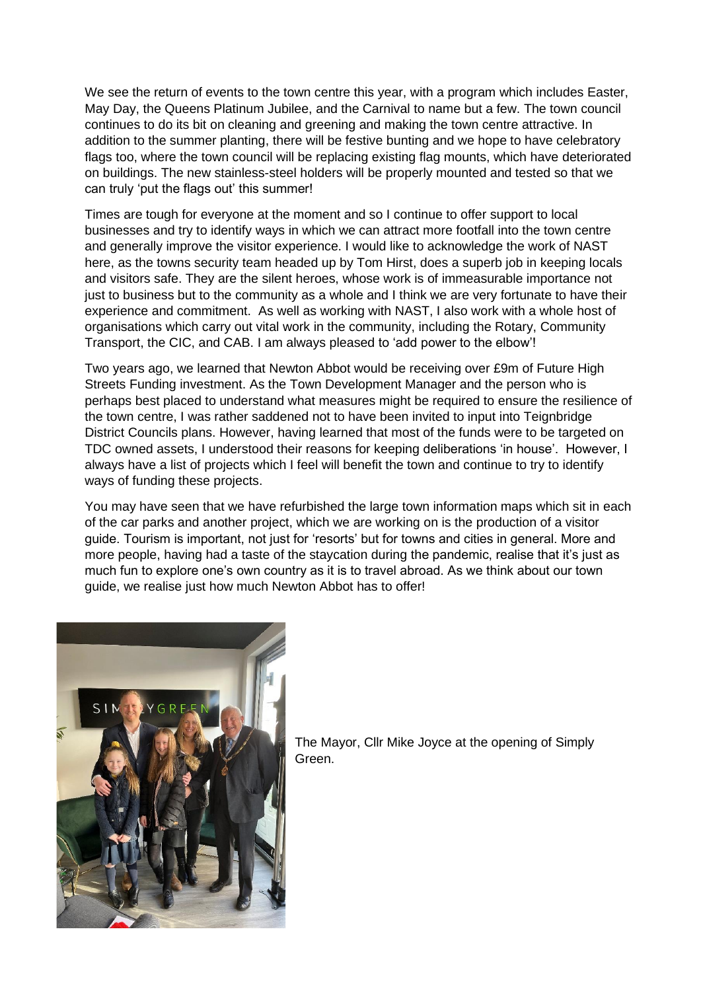We see the return of events to the town centre this year, with a program which includes Easter, May Day, the Queens Platinum Jubilee, and the Carnival to name but a few. The town council continues to do its bit on cleaning and greening and making the town centre attractive. In addition to the summer planting, there will be festive bunting and we hope to have celebratory flags too, where the town council will be replacing existing flag mounts, which have deteriorated on buildings. The new stainless-steel holders will be properly mounted and tested so that we can truly 'put the flags out' this summer!

Times are tough for everyone at the moment and so I continue to offer support to local businesses and try to identify ways in which we can attract more footfall into the town centre and generally improve the visitor experience. I would like to acknowledge the work of NAST here, as the towns security team headed up by Tom Hirst, does a superb job in keeping locals and visitors safe. They are the silent heroes, whose work is of immeasurable importance not just to business but to the community as a whole and I think we are very fortunate to have their experience and commitment. As well as working with NAST, I also work with a whole host of organisations which carry out vital work in the community, including the Rotary, Community Transport, the CIC, and CAB. I am always pleased to 'add power to the elbow'!

Two years ago, we learned that Newton Abbot would be receiving over £9m of Future High Streets Funding investment. As the Town Development Manager and the person who is perhaps best placed to understand what measures might be required to ensure the resilience of the town centre, I was rather saddened not to have been invited to input into Teignbridge District Councils plans. However, having learned that most of the funds were to be targeted on TDC owned assets, I understood their reasons for keeping deliberations 'in house'. However, I always have a list of projects which I feel will benefit the town and continue to try to identify ways of funding these projects.

You may have seen that we have refurbished the large town information maps which sit in each of the car parks and another project, which we are working on is the production of a visitor guide. Tourism is important, not just for 'resorts' but for towns and cities in general. More and more people, having had a taste of the staycation during the pandemic, realise that it's just as much fun to explore one's own country as it is to travel abroad. As we think about our town guide, we realise just how much Newton Abbot has to offer!



The Mayor, Cllr Mike Joyce at the opening of Simply Green.